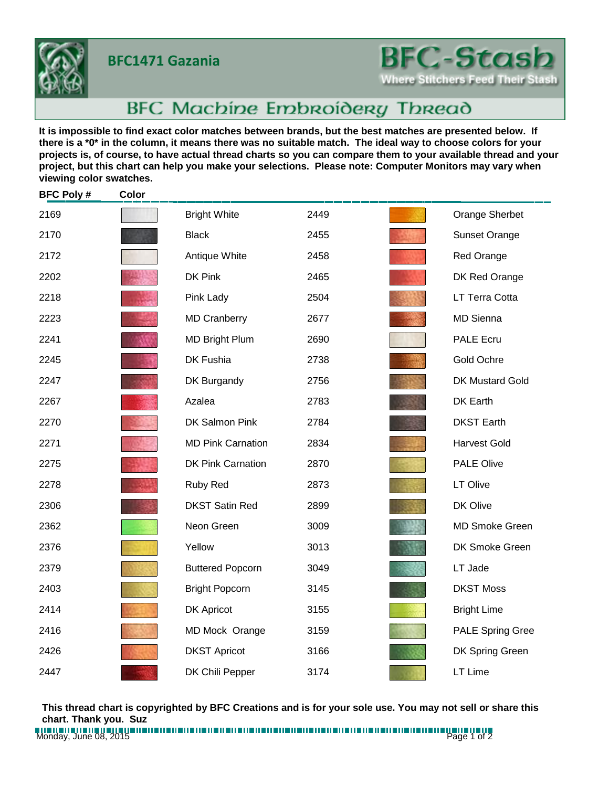**BFC1471 Gazania**



## **BFC-Stas**

Where Stitchers Feed Their Stash

## BFC Machine Embroidery Thread

**It is impossible to find exact color matches between brands, but the best matches are presented below. If there is a \*0\* in the column, it means there was no suitable match. The ideal way to choose colors for your projects is, of course, to have actual thread charts so you can compare them to your available thread and your project, but this chart can help you make your selections. Please note: Computer Monitors may vary when viewing color swatches.**

| <b>BFC Poly#</b> | Color |                          |      |                         |
|------------------|-------|--------------------------|------|-------------------------|
| 2169             |       | <b>Bright White</b>      | 2449 | Orange Sherbet          |
| 2170             |       | <b>Black</b>             | 2455 | <b>Sunset Orange</b>    |
| 2172             |       | Antique White            | 2458 | Red Orange              |
| 2202             |       | DK Pink                  | 2465 | DK Red Orange           |
| 2218             |       | Pink Lady                | 2504 | LT Terra Cotta          |
| 2223             |       | <b>MD Cranberry</b>      | 2677 | <b>MD Sienna</b>        |
| 2241             |       | <b>MD Bright Plum</b>    | 2690 | <b>PALE Ecru</b>        |
| 2245             |       | DK Fushia                | 2738 | Gold Ochre              |
| 2247             |       | DK Burgandy              | 2756 | <b>DK Mustard Gold</b>  |
| 2267             |       | Azalea                   | 2783 | DK Earth                |
| 2270             |       | DK Salmon Pink           | 2784 | <b>DKST Earth</b>       |
| 2271             |       | <b>MD Pink Carnation</b> | 2834 | <b>Harvest Gold</b>     |
| 2275             |       | <b>DK Pink Carnation</b> | 2870 | <b>PALE Olive</b>       |
| 2278             |       | Ruby Red                 | 2873 | LT Olive                |
| 2306             |       | <b>DKST Satin Red</b>    | 2899 | DK Olive                |
| 2362             |       | Neon Green               | 3009 | <b>MD Smoke Green</b>   |
| 2376             |       | Yellow                   | 3013 | DK Smoke Green          |
| 2379             |       | <b>Buttered Popcorn</b>  | 3049 | LT Jade                 |
| 2403             |       | <b>Bright Popcorn</b>    | 3145 | <b>DKST Moss</b>        |
| 2414             |       | <b>DK Apricot</b>        | 3155 | <b>Bright Lime</b>      |
| 2416             |       | MD Mock Orange           | 3159 | <b>PALE Spring Gree</b> |
| 2426             |       | <b>DKST Apricot</b>      | 3166 | DK Spring Green         |
| 2447             |       | DK Chili Pepper          | 3174 | LT Lime                 |

**This thread chart is copyrighted by BFC Creations and is for your sole use. You may not sell or share this chart. Thank you. Suz**